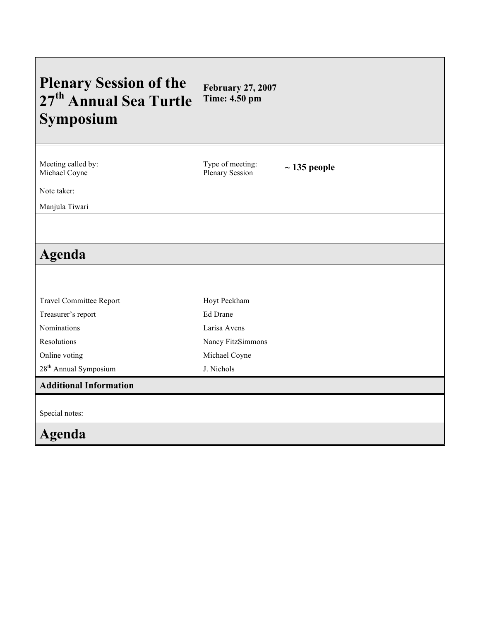# **Plenary Session of the 27th Annual Sea Turtle Symposium February 27, 2007 Time: 4.50 pm**

Meeting called by: Michael Coyne

Type of meeting:

~ 135 people

Note taker:

Manjula Tiwari

# **Agenda**

| <b>Travel Committee Report</b>    | Hoyt Peckham      |
|-----------------------------------|-------------------|
| Treasurer's report                | Ed Drane          |
| Nominations                       | Larisa Avens      |
| Resolutions                       | Nancy FitzSimmons |
| Online voting                     | Michael Coyne     |
| 28 <sup>th</sup> Annual Symposium | J. Nichols        |
| <b>Additional Information</b>     |                   |
|                                   |                   |
| Special notes:                    |                   |
| Agenda                            |                   |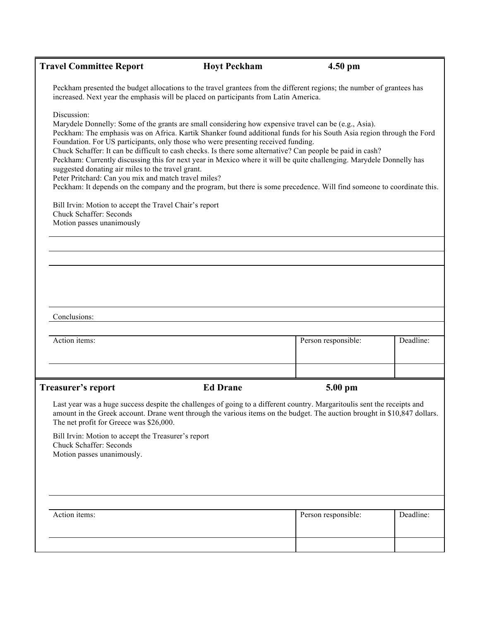| <b>Travel Committee Report</b>                                                                                                                                                                                                                                                                                                                                                                                                                                                                                                                                                                                                                                                                                                                                                                                                                                                                                                            | <b>Hoyt Peckham</b>                                                                                                                                                                                            | $4.50$ pm           |           |  |  |
|-------------------------------------------------------------------------------------------------------------------------------------------------------------------------------------------------------------------------------------------------------------------------------------------------------------------------------------------------------------------------------------------------------------------------------------------------------------------------------------------------------------------------------------------------------------------------------------------------------------------------------------------------------------------------------------------------------------------------------------------------------------------------------------------------------------------------------------------------------------------------------------------------------------------------------------------|----------------------------------------------------------------------------------------------------------------------------------------------------------------------------------------------------------------|---------------------|-----------|--|--|
|                                                                                                                                                                                                                                                                                                                                                                                                                                                                                                                                                                                                                                                                                                                                                                                                                                                                                                                                           | Peckham presented the budget allocations to the travel grantees from the different regions; the number of grantees has<br>increased. Next year the emphasis will be placed on participants from Latin America. |                     |           |  |  |
| Discussion:<br>Marydele Donnelly: Some of the grants are small considering how expensive travel can be (e.g., Asia).<br>Peckham: The emphasis was on Africa. Kartik Shanker found additional funds for his South Asia region through the Ford<br>Foundation. For US participants, only those who were presenting received funding.<br>Chuck Schaffer: It can be difficult to cash checks. Is there some alternative? Can people be paid in cash?<br>Peckham: Currently discussing this for next year in Mexico where it will be quite challenging. Marydele Donnelly has<br>suggested donating air miles to the travel grant.<br>Peter Pritchard: Can you mix and match travel miles?<br>Peckham: It depends on the company and the program, but there is some precedence. Will find someone to coordinate this.<br>Bill Irvin: Motion to accept the Travel Chair's report<br><b>Chuck Schaffer: Seconds</b><br>Motion passes unanimously |                                                                                                                                                                                                                |                     |           |  |  |
| Conclusions:                                                                                                                                                                                                                                                                                                                                                                                                                                                                                                                                                                                                                                                                                                                                                                                                                                                                                                                              |                                                                                                                                                                                                                |                     |           |  |  |
| Action items:                                                                                                                                                                                                                                                                                                                                                                                                                                                                                                                                                                                                                                                                                                                                                                                                                                                                                                                             |                                                                                                                                                                                                                | Person responsible: | Deadline: |  |  |
| Treasurer's report                                                                                                                                                                                                                                                                                                                                                                                                                                                                                                                                                                                                                                                                                                                                                                                                                                                                                                                        | <b>Ed Drane</b>                                                                                                                                                                                                | 5.00 pm             |           |  |  |
| Last year was a huge success despite the challenges of going to a different country. Margaritoulis sent the receipts and<br>amount in the Greek account. Drane went through the various items on the budget. The auction brought in \$10,847 dollars.<br>The net profit for Greece was \$26,000.                                                                                                                                                                                                                                                                                                                                                                                                                                                                                                                                                                                                                                          |                                                                                                                                                                                                                |                     |           |  |  |
| Bill Irvin: Motion to accept the Treasurer's report<br><b>Chuck Schaffer: Seconds</b><br>Motion passes unanimously.                                                                                                                                                                                                                                                                                                                                                                                                                                                                                                                                                                                                                                                                                                                                                                                                                       |                                                                                                                                                                                                                |                     |           |  |  |
|                                                                                                                                                                                                                                                                                                                                                                                                                                                                                                                                                                                                                                                                                                                                                                                                                                                                                                                                           |                                                                                                                                                                                                                |                     |           |  |  |
| Action items:                                                                                                                                                                                                                                                                                                                                                                                                                                                                                                                                                                                                                                                                                                                                                                                                                                                                                                                             |                                                                                                                                                                                                                | Person responsible: | Deadline: |  |  |
|                                                                                                                                                                                                                                                                                                                                                                                                                                                                                                                                                                                                                                                                                                                                                                                                                                                                                                                                           |                                                                                                                                                                                                                |                     |           |  |  |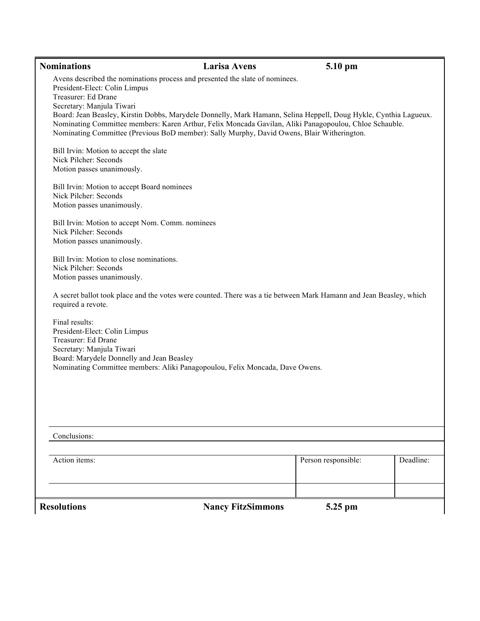| Avens described the nominations process and presented the slate of nominees.<br>President-Elect: Colin Limpus<br>Treasurer: Ed Drane<br>Secretary: Manjula Tiwari<br>Board: Jean Beasley, Kirstin Dobbs, Marydele Donnelly, Mark Hamann, Selina Heppell, Doug Hykle, Cynthia Lagueux.<br>Nominating Committee members: Karen Arthur, Felix Moncada Gavilan, Aliki Panagopoulou, Chloe Schauble.<br>Nominating Committee (Previous BoD member): Sally Murphy, David Owens, Blair Witherington.<br>Bill Irvin: Motion to accept the slate<br>Nick Pilcher: Seconds<br>Motion passes unanimously.<br>Bill Irvin: Motion to accept Board nominees<br>Nick Pilcher: Seconds<br>Motion passes unanimously.<br>Bill Irvin: Motion to accept Nom. Comm. nominees<br>Nick Pilcher: Seconds<br>Motion passes unanimously.<br>Bill Irvin: Motion to close nominations.<br>Nick Pilcher: Seconds<br>Motion passes unanimously.<br>A secret ballot took place and the votes were counted. There was a tie between Mark Hamann and Jean Beasley, which<br>required a revote.<br>Final results:<br>President-Elect: Colin Limpus<br>Treasurer: Ed Drane<br>Secretary: Manjula Tiwari<br>Board: Marydele Donnelly and Jean Beasley<br>Nominating Committee members: Aliki Panagopoulou, Felix Moncada, Dave Owens.<br>Conclusions:<br>Deadline:<br>Action items:<br>Person responsible:<br><b>Resolutions</b><br><b>Nancy FitzSimmons</b><br>5.25 pm | <b>Nominations</b> | <b>Larisa Avens</b> | 5.10 pm |  |
|--------------------------------------------------------------------------------------------------------------------------------------------------------------------------------------------------------------------------------------------------------------------------------------------------------------------------------------------------------------------------------------------------------------------------------------------------------------------------------------------------------------------------------------------------------------------------------------------------------------------------------------------------------------------------------------------------------------------------------------------------------------------------------------------------------------------------------------------------------------------------------------------------------------------------------------------------------------------------------------------------------------------------------------------------------------------------------------------------------------------------------------------------------------------------------------------------------------------------------------------------------------------------------------------------------------------------------------------------------------------------------------------------------------------------------------|--------------------|---------------------|---------|--|
|                                                                                                                                                                                                                                                                                                                                                                                                                                                                                                                                                                                                                                                                                                                                                                                                                                                                                                                                                                                                                                                                                                                                                                                                                                                                                                                                                                                                                                      |                    |                     |         |  |
|                                                                                                                                                                                                                                                                                                                                                                                                                                                                                                                                                                                                                                                                                                                                                                                                                                                                                                                                                                                                                                                                                                                                                                                                                                                                                                                                                                                                                                      |                    |                     |         |  |
|                                                                                                                                                                                                                                                                                                                                                                                                                                                                                                                                                                                                                                                                                                                                                                                                                                                                                                                                                                                                                                                                                                                                                                                                                                                                                                                                                                                                                                      |                    |                     |         |  |
|                                                                                                                                                                                                                                                                                                                                                                                                                                                                                                                                                                                                                                                                                                                                                                                                                                                                                                                                                                                                                                                                                                                                                                                                                                                                                                                                                                                                                                      |                    |                     |         |  |
|                                                                                                                                                                                                                                                                                                                                                                                                                                                                                                                                                                                                                                                                                                                                                                                                                                                                                                                                                                                                                                                                                                                                                                                                                                                                                                                                                                                                                                      |                    |                     |         |  |
|                                                                                                                                                                                                                                                                                                                                                                                                                                                                                                                                                                                                                                                                                                                                                                                                                                                                                                                                                                                                                                                                                                                                                                                                                                                                                                                                                                                                                                      |                    |                     |         |  |
|                                                                                                                                                                                                                                                                                                                                                                                                                                                                                                                                                                                                                                                                                                                                                                                                                                                                                                                                                                                                                                                                                                                                                                                                                                                                                                                                                                                                                                      |                    |                     |         |  |
|                                                                                                                                                                                                                                                                                                                                                                                                                                                                                                                                                                                                                                                                                                                                                                                                                                                                                                                                                                                                                                                                                                                                                                                                                                                                                                                                                                                                                                      |                    |                     |         |  |
|                                                                                                                                                                                                                                                                                                                                                                                                                                                                                                                                                                                                                                                                                                                                                                                                                                                                                                                                                                                                                                                                                                                                                                                                                                                                                                                                                                                                                                      |                    |                     |         |  |
|                                                                                                                                                                                                                                                                                                                                                                                                                                                                                                                                                                                                                                                                                                                                                                                                                                                                                                                                                                                                                                                                                                                                                                                                                                                                                                                                                                                                                                      |                    |                     |         |  |
|                                                                                                                                                                                                                                                                                                                                                                                                                                                                                                                                                                                                                                                                                                                                                                                                                                                                                                                                                                                                                                                                                                                                                                                                                                                                                                                                                                                                                                      |                    |                     |         |  |
|                                                                                                                                                                                                                                                                                                                                                                                                                                                                                                                                                                                                                                                                                                                                                                                                                                                                                                                                                                                                                                                                                                                                                                                                                                                                                                                                                                                                                                      |                    |                     |         |  |
|                                                                                                                                                                                                                                                                                                                                                                                                                                                                                                                                                                                                                                                                                                                                                                                                                                                                                                                                                                                                                                                                                                                                                                                                                                                                                                                                                                                                                                      |                    |                     |         |  |
|                                                                                                                                                                                                                                                                                                                                                                                                                                                                                                                                                                                                                                                                                                                                                                                                                                                                                                                                                                                                                                                                                                                                                                                                                                                                                                                                                                                                                                      |                    |                     |         |  |
|                                                                                                                                                                                                                                                                                                                                                                                                                                                                                                                                                                                                                                                                                                                                                                                                                                                                                                                                                                                                                                                                                                                                                                                                                                                                                                                                                                                                                                      |                    |                     |         |  |
|                                                                                                                                                                                                                                                                                                                                                                                                                                                                                                                                                                                                                                                                                                                                                                                                                                                                                                                                                                                                                                                                                                                                                                                                                                                                                                                                                                                                                                      |                    |                     |         |  |
|                                                                                                                                                                                                                                                                                                                                                                                                                                                                                                                                                                                                                                                                                                                                                                                                                                                                                                                                                                                                                                                                                                                                                                                                                                                                                                                                                                                                                                      |                    |                     |         |  |
|                                                                                                                                                                                                                                                                                                                                                                                                                                                                                                                                                                                                                                                                                                                                                                                                                                                                                                                                                                                                                                                                                                                                                                                                                                                                                                                                                                                                                                      |                    |                     |         |  |
|                                                                                                                                                                                                                                                                                                                                                                                                                                                                                                                                                                                                                                                                                                                                                                                                                                                                                                                                                                                                                                                                                                                                                                                                                                                                                                                                                                                                                                      |                    |                     |         |  |
|                                                                                                                                                                                                                                                                                                                                                                                                                                                                                                                                                                                                                                                                                                                                                                                                                                                                                                                                                                                                                                                                                                                                                                                                                                                                                                                                                                                                                                      |                    |                     |         |  |
|                                                                                                                                                                                                                                                                                                                                                                                                                                                                                                                                                                                                                                                                                                                                                                                                                                                                                                                                                                                                                                                                                                                                                                                                                                                                                                                                                                                                                                      |                    |                     |         |  |
|                                                                                                                                                                                                                                                                                                                                                                                                                                                                                                                                                                                                                                                                                                                                                                                                                                                                                                                                                                                                                                                                                                                                                                                                                                                                                                                                                                                                                                      |                    |                     |         |  |
|                                                                                                                                                                                                                                                                                                                                                                                                                                                                                                                                                                                                                                                                                                                                                                                                                                                                                                                                                                                                                                                                                                                                                                                                                                                                                                                                                                                                                                      |                    |                     |         |  |
|                                                                                                                                                                                                                                                                                                                                                                                                                                                                                                                                                                                                                                                                                                                                                                                                                                                                                                                                                                                                                                                                                                                                                                                                                                                                                                                                                                                                                                      |                    |                     |         |  |
|                                                                                                                                                                                                                                                                                                                                                                                                                                                                                                                                                                                                                                                                                                                                                                                                                                                                                                                                                                                                                                                                                                                                                                                                                                                                                                                                                                                                                                      |                    |                     |         |  |
|                                                                                                                                                                                                                                                                                                                                                                                                                                                                                                                                                                                                                                                                                                                                                                                                                                                                                                                                                                                                                                                                                                                                                                                                                                                                                                                                                                                                                                      |                    |                     |         |  |
|                                                                                                                                                                                                                                                                                                                                                                                                                                                                                                                                                                                                                                                                                                                                                                                                                                                                                                                                                                                                                                                                                                                                                                                                                                                                                                                                                                                                                                      |                    |                     |         |  |
|                                                                                                                                                                                                                                                                                                                                                                                                                                                                                                                                                                                                                                                                                                                                                                                                                                                                                                                                                                                                                                                                                                                                                                                                                                                                                                                                                                                                                                      |                    |                     |         |  |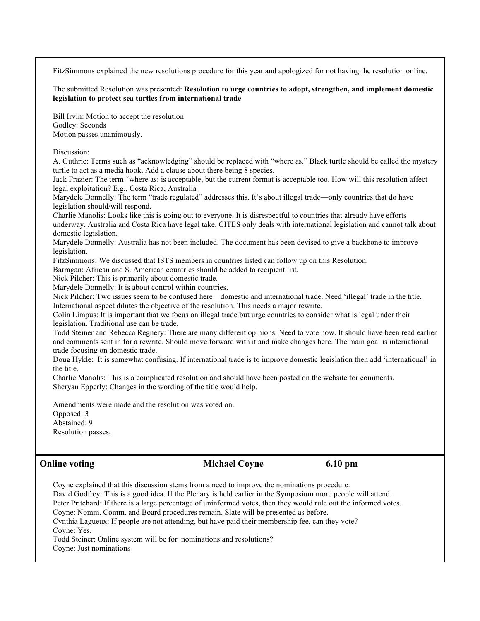FitzSimmons explained the new resolutions procedure for this year and apologized for not having the resolution online.

The submitted Resolution was presented: **Resolution to urge countries to adopt, strengthen, and implement domestic legislation to protect sea turtles from international trade**

Bill Irvin: Motion to accept the resolution Godley: Seconds Motion passes unanimously.

### Discussion:

A. Guthrie: Terms such as "acknowledging" should be replaced with "where as." Black turtle should be called the mystery turtle to act as a media hook. Add a clause about there being 8 species.

Jack Frazier: The term "where as: is acceptable, but the current format is acceptable too. How will this resolution affect legal exploitation? E.g., Costa Rica, Australia

Marydele Donnelly: The term "trade regulated" addresses this. It's about illegal trade—only countries that do have legislation should/will respond.

Charlie Manolis: Looks like this is going out to everyone. It is disrespectful to countries that already have efforts underway. Australia and Costa Rica have legal take. CITES only deals with international legislation and cannot talk about domestic legislation.

Marydele Donnelly: Australia has not been included. The document has been devised to give a backbone to improve legislation.

FitzSimmons: We discussed that ISTS members in countries listed can follow up on this Resolution.

Barragan: African and S. American countries should be added to recipient list.

Nick Pilcher: This is primarily about domestic trade.

Marydele Donnelly: It is about control within countries.

Nick Pilcher: Two issues seem to be confused here—domestic and international trade. Need 'illegal' trade in the title. International aspect dilutes the objective of the resolution. This needs a major rewrite.

Colin Limpus: It is important that we focus on illegal trade but urge countries to consider what is legal under their legislation. Traditional use can be trade.

Todd Steiner and Rebecca Regnery: There are many different opinions. Need to vote now. It should have been read earlier and comments sent in for a rewrite. Should move forward with it and make changes here. The main goal is international trade focusing on domestic trade.

Doug Hykle: It is somewhat confusing. If international trade is to improve domestic legislation then add 'international' in the title.

Charlie Manolis: This is a complicated resolution and should have been posted on the website for comments. Sheryan Epperly: Changes in the wording of the title would help.

Amendments were made and the resolution was voted on. Opposed: 3 Abstained: 9 Resolution passes.

## **Online voting Michael Coyne 6.10 pm**

Coyne explained that this discussion stems from a need to improve the nominations procedure. David Godfrey: This is a good idea. If the Plenary is held earlier in the Symposium more people will attend. Peter Pritchard: If there is a large percentage of uninformed votes, then they would rule out the informed votes.

Coyne: Nomm. Comm. and Board procedures remain. Slate will be presented as before.

Cynthia Lagueux: If people are not attending, but have paid their membership fee, can they vote? Coyne: Yes.

Todd Steiner: Online system will be for nominations and resolutions? Coyne: Just nominations